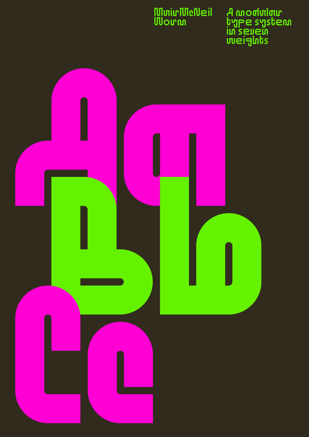#### **MuirMcNeil Worm**

A modular type system in seven weights

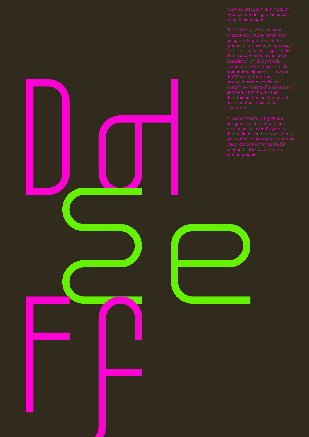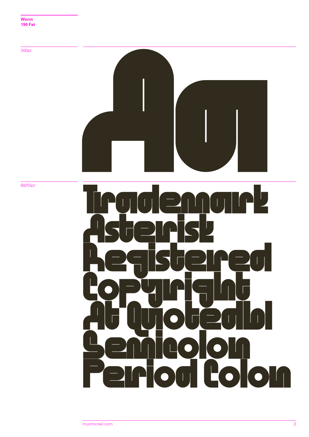

68/55pt

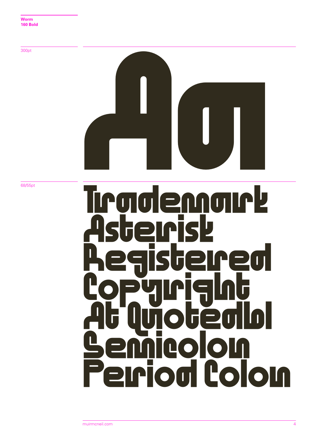**Aa**

68/55pt

### **Trademark Asterisk Registered Copyright At Quotedbl Semicolon Period Colon**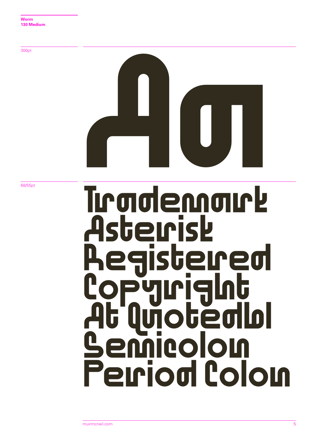# Aa

68/55pt

### Trademark Asterisk egistered **Copyright** At Quotedbl otedlol Period Colon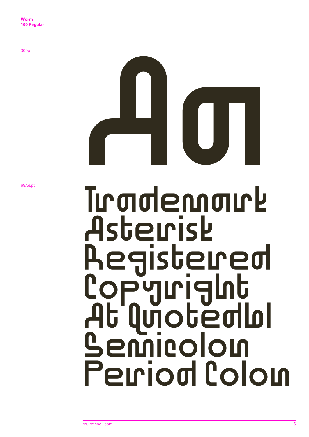# Aa

68/55pt

### Trademark Asterisk Registered Copyright At Quotedbl **Semicolon** Period Colon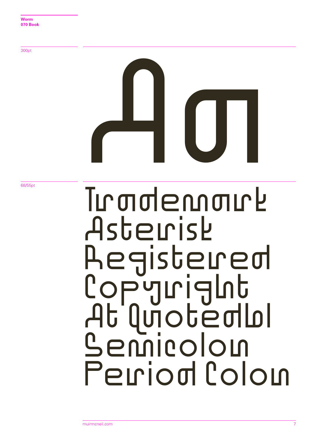# Aa

68/55pt

### Tumdennaurk Asterisk Registered **Copyright** At Quotedbl Semicolon Perriod Colon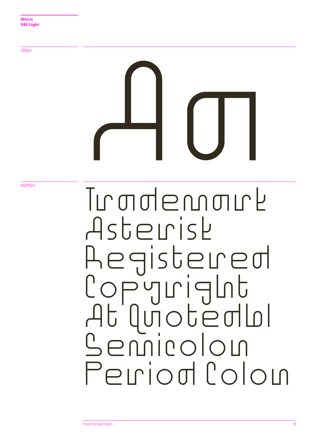## Aa Trademark Asterisk Registered Copyright At Quotedbl Semicolon Perriod Colon

68/55pt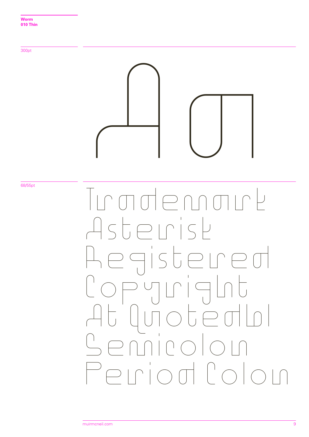

Period Colon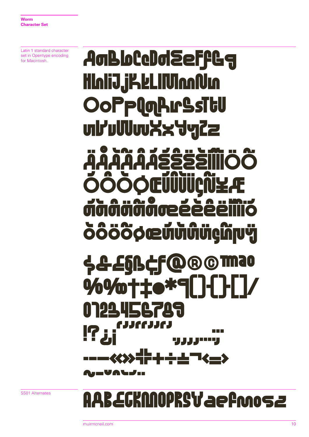Latin 1 standard character set in Opentype encoding for Macintosh.

#### **AgbloCeDgreeffGg HIniiJ.jKkLIMmAUn OoPplgArSsitu** uhuwxx4g22 an Al **The Contract of the Contract of the Contract of the Contract of the Contract of the Contract of the Contract of the Contract of the Contract of the Contract of the Contract of the Contract of The Contract of The Contract** JΫ  $\mathbf{O}$  (12  $\mathbf{p}$ S&EQBCF 130 OOG  $\boldsymbol{V}$ **%%+1** 8 Н Ш PЦ a a T . . . . . . .

SS01 Alternates

#### **B.EGKNNOPRSVaefmosz**